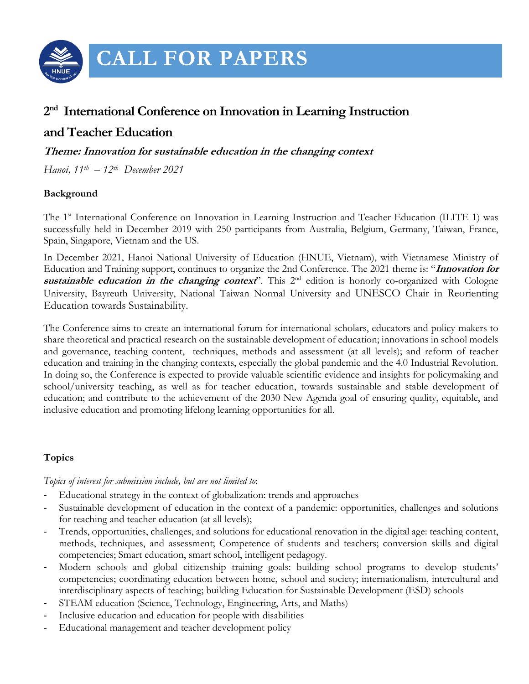

# **CALL FOR PAPERS**

# **2nd International Conference on Innovation in Learning Instruction**

# **and Teacher Education**

**Theme: Innovation for sustainable education in the changing context**

*Hanoi, 11th – 12th December 2021* 

### **Background**

The 1<sup>st</sup> International Conference on Innovation in Learning Instruction and Teacher Education (ILITE 1) was successfully held in December 2019 with 250 participants from Australia, Belgium, Germany, Taiwan, France, Spain, Singapore, Vietnam and the US.

In December 2021, Hanoi National University of Education (HNUE, Vietnam), with Vietnamese Ministry of Education and Training support, continues to organize the 2nd Conference. The 2021 theme is: "**Innovation for**  sustainable education in the changing context<sup>"</sup>. This 2<sup>nd</sup> edition is honorly co-organized with Cologne University, Bayreuth University, National Taiwan Normal University and UNESCO Chair in Reorienting Education towards Sustainability.

The Conference aims to create an international forum for international scholars, educators and policy-makers to share theoretical and practical research on the sustainable development of education; innovations in school models and governance, teaching content, techniques, methods and assessment (at all levels); and reform of teacher education and training in the changing contexts, especially the global pandemic and the 4.0 Industrial Revolution. In doing so, the Conference is expected to provide valuable scientific evidence and insights for policymaking and school/university teaching, as well as for teacher education, towards sustainable and stable development of education; and contribute to the achievement of the 2030 New Agenda goal of ensuring quality, equitable, and inclusive education and promoting lifelong learning opportunities for all.

# **Topics**

#### *Topics of interest for submission include, but are not limited to*:

- Educational strategy in the context of globalization: trends and approaches
- Sustainable development of education in the context of a pandemic: opportunities, challenges and solutions for teaching and teacher education (at all levels);
- Trends, opportunities, challenges, and solutions for educational renovation in the digital age: teaching content, methods, techniques, and assessment; Competence of students and teachers; conversion skills and digital competencies; Smart education, smart school, intelligent pedagogy.
- Modern schools and global citizenship training goals: building school programs to develop students' competencies; coordinating education between home, school and society; internationalism, intercultural and interdisciplinary aspects of teaching; building Education for Sustainable Development (ESD) schools
- STEAM education (Science, Technology, Engineering, Arts, and Maths)
- Inclusive education and education for people with disabilities
- Educational management and teacher development policy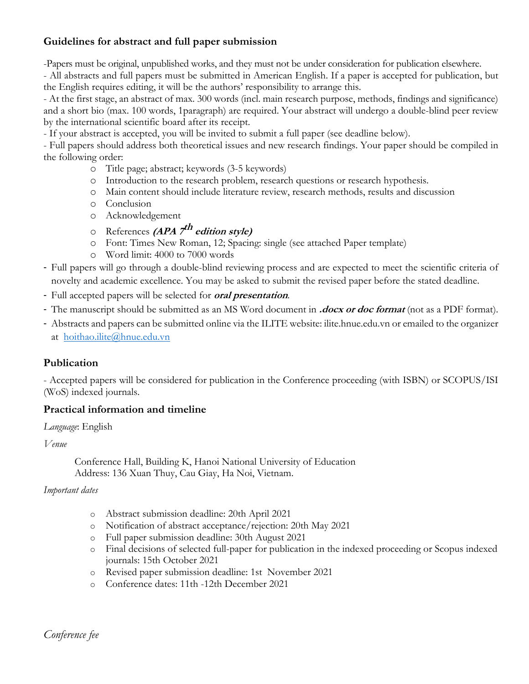# **Guidelines for abstract and full paper submission**

-Papers must be original, unpublished works, and they must not be under consideration for publication elsewhere.

- All abstracts and full papers must be submitted in American English. If a paper is accepted for publication, but the English requires editing, it will be the authors' responsibility to arrange this.

- At the first stage, an abstract of max. 300 words (incl. main research purpose, methods, findings and significance) and a short bio (max. 100 words, 1paragraph) are required. Your abstract will undergo a double-blind peer review by the international scientific board after its receipt.

- If your abstract is accepted, you will be invited to submit a full paper (see deadline below).

- Full papers should address both theoretical issues and new research findings. Your paper should be compiled in the following order:

- o Title page; abstract; keywords (3-5 keywords)
- o Introduction to the research problem, research questions or research hypothesis.
- o Main content should include literature review, research methods, results and discussion
- o Conclusion
- o Acknowledgement
- o References **(APA 7th edition style)**
- o Font: Times New Roman, 12; Spacing: single (see attached Paper template)
- o Word limit: 4000 to 7000 words
- Full papers will go through a double-blind reviewing process and are expected to meet the scientific criteria of novelty and academic excellence. You may be asked to submit the revised paper before the stated deadline.
- Full accepted papers will be selected for **oral presentation**.
- The manuscript should be submitted as an MS Word document in **.docx or doc format** (not as a PDF format).
- Abstracts and papers can be submitted online via the ILITE website: ilite.hnue.edu.vn or emailed to the organizer at hoithao.ilite@hnue.edu.vn

# **Publication**

- Accepted papers will be considered for publication in the Conference proceeding (with ISBN) or SCOPUS/ISI (WoS) indexed journals.

#### **Practical information and timeline**

#### *Language*: English

*Venue*

Conference Hall, Building K, Hanoi National University of Education Address: 136 Xuan Thuy, Cau Giay, Ha Noi, Vietnam.

#### *Important dates*

- o Abstract submission deadline: 20th April 2021
- o Notification of abstract acceptance/rejection: 20th May 2021
- o Full paper submission deadline: 30th August 2021
- o Final decisions of selected full-paper for publication in the indexed proceeding or Scopus indexed journals: 15th October 2021
- o Revised paper submission deadline: 1st November 2021
- o Conference dates: 11th -12th December 2021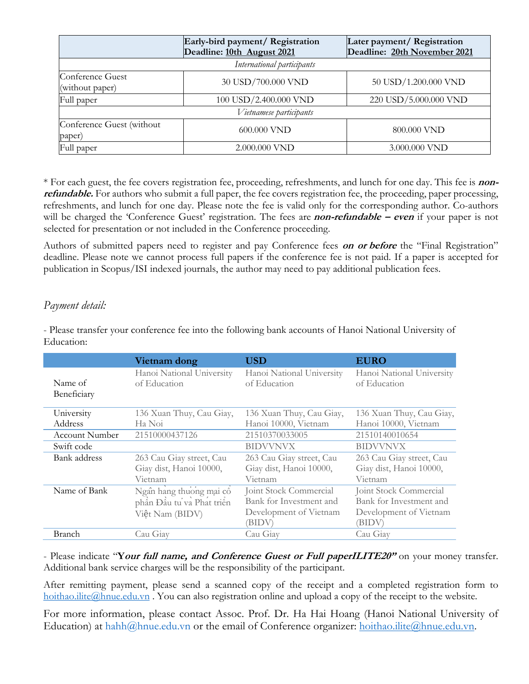|                                     | Early-bird payment/ Registration<br>Deadline: 10th August 2021 | Later payment/ Registration<br>Deadline: 20th November 2021 |  |  |
|-------------------------------------|----------------------------------------------------------------|-------------------------------------------------------------|--|--|
| International participants          |                                                                |                                                             |  |  |
| Conference Guest<br>(without paper) | 30 USD/700.000 VND                                             | 50 USD/1.200.000 VND                                        |  |  |
| Full paper                          | 100 USD/2.400.000 VND                                          | 220 USD/5.000.000 VND                                       |  |  |
| Vietnamese participants             |                                                                |                                                             |  |  |
| Conference Guest (without<br>paper) | 600.000 VND                                                    | 800.000 VND                                                 |  |  |
| Full paper                          | 2.000.000 VND                                                  | 3.000.000 VND                                               |  |  |

\* For each guest, the fee covers registration fee, proceeding, refreshments, and lunch for one day. This fee is **nonrefundable.** For authors who submit a full paper, the fee covers registration fee, the proceeding, paper processing, refreshments, and lunch for one day. Please note the fee is valid only for the corresponding author. Co-authors will be charged the 'Conference Guest' registration. The fees are **non-refundable – even** if your paper is not selected for presentation or not included in the Conference proceeding.

Authors of submitted papers need to register and pay Conference fees **on or before** the "Final Registration" deadline. Please note we cannot process full papers if the conference fee is not paid. If a paper is accepted for publication in Scopus/ISI indexed journals, the author may need to pay additional publication fees.

### *Payment detail:*

|                        | Vietnam dong                                                            | <b>USD</b>                                                                          | <b>EURO</b>                                                                           |
|------------------------|-------------------------------------------------------------------------|-------------------------------------------------------------------------------------|---------------------------------------------------------------------------------------|
| Name of<br>Beneficiary | Hanoi National University<br>of Education                               | Hanoi National University<br>of Education                                           | Hanoi National University<br>of Education                                             |
| University             | 136 Xuan Thuy, Cau Giay,                                                | 136 Xuan Thuy, Cau Giay,                                                            | 136 Xuan Thuy, Cau Giay,                                                              |
| Address                | Ha Noi                                                                  | Hanoi 10000, Vietnam                                                                | Hanoi 10000, Vietnam                                                                  |
| <b>Account Number</b>  | 21510000437126                                                          | 21510370033005                                                                      | 21510140010654                                                                        |
| Swift code             |                                                                         | <b>BIDVVNVX</b>                                                                     | <b>BIDVVNVX</b>                                                                       |
| Bank address           | 263 Cau Giay street, Cau<br>Giay dist, Hanoi 10000,<br>Vietnam          | 263 Cau Giay street, Cau<br>Giay dist, Hanoi 10000,<br>Vietnam                      | 263 Cau Giay street, Cau<br>Giay dist, Hanoi 10000,<br>Vietnam                        |
| Name of Bank           | Ngân hàng thuông mại cổ<br>phần Đầu tu và Phát triển<br>Việt Nam (BIDV) | Joint Stock Commercial<br>Bank for Investment and<br>Development of Vietnam<br>BIDV | Joint Stock Commercial<br>Bank for Investment and<br>Development of Vietnam<br>(BIDV) |
| Branch                 | Cau Giay                                                                | Cau Giay                                                                            | Cau Giay                                                                              |

- Please transfer your conference fee into the following bank accounts of Hanoi National University of Education:

- Please indicate "**Your full name, and Conference Guest or Full paperILITE20"** on your money transfer. Additional bank service charges will be the responsibility of the participant.

After remitting payment, please send a scanned copy of the receipt and a completed registration form to hoithao.ilite@hnue.edu.vn. You can also registration online and upload a copy of the receipt to the website.

For more information, please contact Assoc. Prof. Dr. Ha Hai Hoang (Hanoi National University of Education) at hahh@hnue.edu.vn or the email of Conference organizer: hoithao.ilite@hnue.edu.vn.